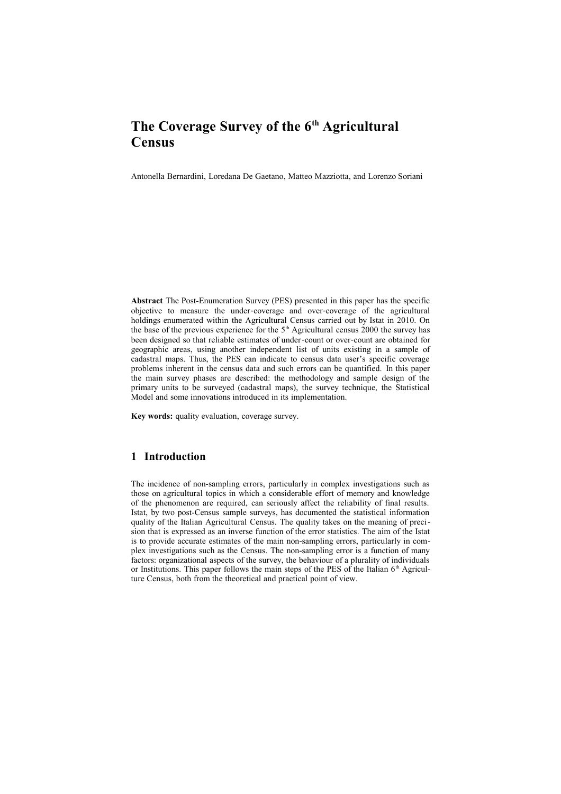# **The Coverage Survey of the 6th Agricultural Census**

Antonella Bernardini, Loredana De Gaetano, Matteo Mazziotta, and Lorenzo Soriani

**Abstract** The Post-Enumeration Survey (PES) presented in this paper has the specific objective to measure the under‐coverage and over‐coverage of the agricultural holdings enumerated within the Agricultural Census carried out by Istat in 2010. On the base of the previous experience for the  $5<sup>th</sup>$  Agricultural census 2000 the survey has been designed so that reliable estimates of under‐count or over‐count are obtained for geographic areas, using another independent list of units existing in a sample of cadastral maps. Thus, the PES can indicate to census data user's specific coverage problems inherent in the census data and such errors can be quantified. In this paper the main survey phases are described: the methodology and sample design of the primary units to be surveyed (cadastral maps), the survey technique, the Statistical Model and some innovations introduced in its implementation.

**Key words:** quality evaluation, coverage survey.

## **1 Introduction**

The incidence of non-sampling errors, particularly in complex investigations such as those on agricultural topics in which a considerable effort of memory and knowledge of the phenomenon are required, can seriously affect the reliability of final results. Istat, by two post-Census sample surveys, has documented the statistical information quality of the Italian Agricultural Census. The quality takes on the meaning of precision that is expressed as an inverse function of the error statistics. The aim of the Istat is to provide accurate estimates of the main non-sampling errors, particularly in complex investigations such as the Census. The non-sampling error is a function of many factors: organizational aspects of the survey, the behaviour of a plurality of individuals or Institutions. This paper follows the main steps of the PES of the Italian  $6<sup>th</sup>$  Agriculture Census, both from the theoretical and practical point of view.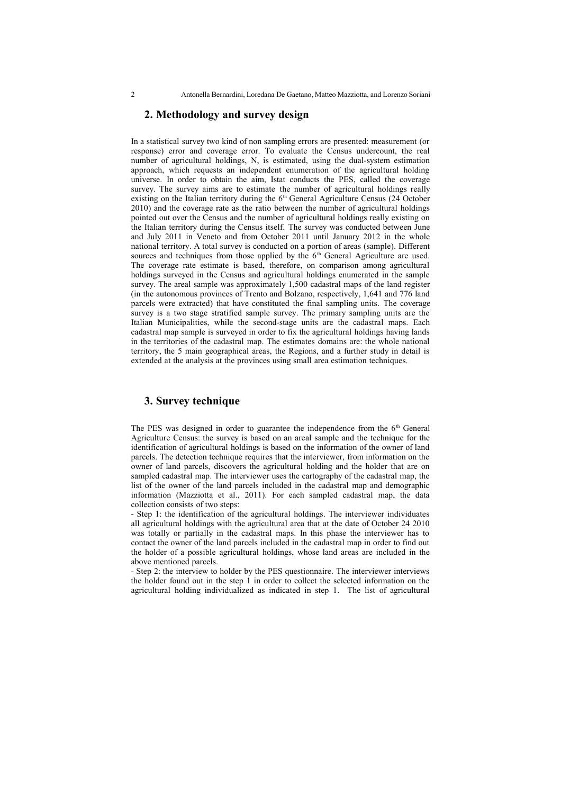## **2. Methodology and survey design**

In a statistical survey two kind of non sampling errors are presented: measurement (or response) error and coverage error. To evaluate the Census undercount, the real number of agricultural holdings, N, is estimated, using the dual-system estimation approach, which requests an independent enumeration of the agricultural holding universe. In order to obtain the aim, Istat conducts the PES, called the coverage survey. The survey aims are to estimate the number of agricultural holdings really existing on the Italian territory during the 6<sup>th</sup> General Agriculture Census (24 October 2010) and the coverage rate as the ratio between the number of agricultural holdings pointed out over the Census and the number of agricultural holdings really existing on the Italian territory during the Census itself. The survey was conducted between June and July 2011 in Veneto and from October 2011 until January 2012 in the whole national territory. A total survey is conducted on a portion of areas (sample). Different sources and techniques from those applied by the  $6<sup>th</sup>$  General Agriculture are used. The coverage rate estimate is based, therefore, on comparison among agricultural holdings surveyed in the Census and agricultural holdings enumerated in the sample survey. The areal sample was approximately 1,500 cadastral maps of the land register (in the autonomous provinces of Trento and Bolzano, respectively, 1,641 and 776 land parcels were extracted) that have constituted the final sampling units. The coverage survey is a two stage stratified sample survey. The primary sampling units are the Italian Municipalities, while the second-stage units are the cadastral maps. Each cadastral map sample is surveyed in order to fix the agricultural holdings having lands in the territories of the cadastral map. The estimates domains are: the whole national territory, the 5 main geographical areas, the Regions, and a further study in detail is extended at the analysis at the provinces using small area estimation techniques.

## **3. Survey technique**

The PES was designed in order to guarantee the independence from the  $6<sup>th</sup>$  General Agriculture Census: the survey is based on an areal sample and the technique for the identification of agricultural holdings is based on the information of the owner of land parcels. The detection technique requires that the interviewer, from information on the owner of land parcels, discovers the agricultural holding and the holder that are on sampled cadastral map. The interviewer uses the cartography of the cadastral map, the list of the owner of the land parcels included in the cadastral map and demographic information (Mazziotta et al., 2011). For each sampled cadastral map, the data collection consists of two steps:

- Step 1: the identification of the agricultural holdings. The interviewer individuates all agricultural holdings with the agricultural area that at the date of October 24 2010 was totally or partially in the cadastral maps. In this phase the interviewer has to contact the owner of the land parcels included in the cadastral map in order to find out the holder of a possible agricultural holdings, whose land areas are included in the above mentioned parcels.

- Step 2: the interview to holder by the PES questionnaire. The interviewer interviews the holder found out in the step 1 in order to collect the selected information on the agricultural holding individualized as indicated in step 1. The list of agricultural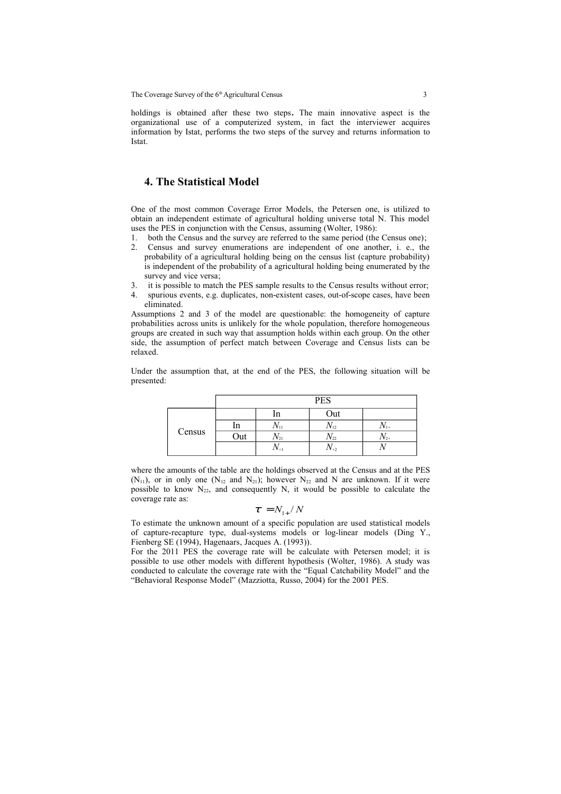holdings is obtained after these two steps**.** The main innovative aspect is the organizational use of a computerized system, in fact the interviewer acquires information by Istat, performs the two steps of the survey and returns information to Istat.

## **4. The Statistical Model**

One of the most common Coverage Error Models, the Petersen one, is utilized to obtain an independent estimate of agricultural holding universe total N. This model uses the PES in conjunction with the Census, assuming (Wolter, 1986):

- 1. both the Census and the survey are referred to the same period (the Census one);
- 2. Census and survey enumerations are independent of one another, i. e., the probability of a agricultural holding being on the census list (capture probability) is independent of the probability of a agricultural holding being enumerated by the survey and vice versa;
- 3. it is possible to match the PES sample results to the Census results without error;
- 4. spurious events, e.g. duplicates, non-existent cases, out-of-scope cases, have been eliminated.

Assumptions 2 and 3 of the model are questionable: the homogeneity of capture probabilities across units is unlikely for the whole population, therefore homogeneous groups are created in such way that assumption holds within each group. On the other side, the assumption of perfect match between Coverage and Census lists can be relaxed.

Under the assumption that, at the end of the PES, the following situation will be presented:

|        | <b>PES</b> |                     |           |           |
|--------|------------|---------------------|-----------|-----------|
| Census |            | ш                   | Out       |           |
|        | ın         | $1$ V <sub>11</sub> | $1V_{12}$ | $1V_{1+}$ |
|        | Out        | $1\mathbf{v}_{21}$  | 1 V 22    | $1V_{2+}$ |
|        |            | $1V +$              | $1V+2$    |           |

where the amounts of the table are the holdings observed at the Census and at the PES  $(N_{11})$ , or in only one  $(N_{12}$  and  $N_{21})$ ; however  $N_{22}$  and N are unknown. If it were possible to know  $N_{22}$ , and consequently N, it would be possible to calculate the coverage rate as:

$$
\tau = N_{\rm 1+} / N
$$

To estimate the unknown amount of a specific population are used statistical models of capture-recapture type, dual-systems models or log-linear models (Ding Y., Fienberg SE (1994), Hagenaars, Jacques A. (1993)).

For the 2011 PES the coverage rate will be calculate with Petersen model; it is possible to use other models with different hypothesis (Wolter, 1986). A study was conducted to calculate the coverage rate with the "Equal Catchability Model" and the "Behavioral Response Model" (Mazziotta, Russo, 2004) for the 2001 PES.